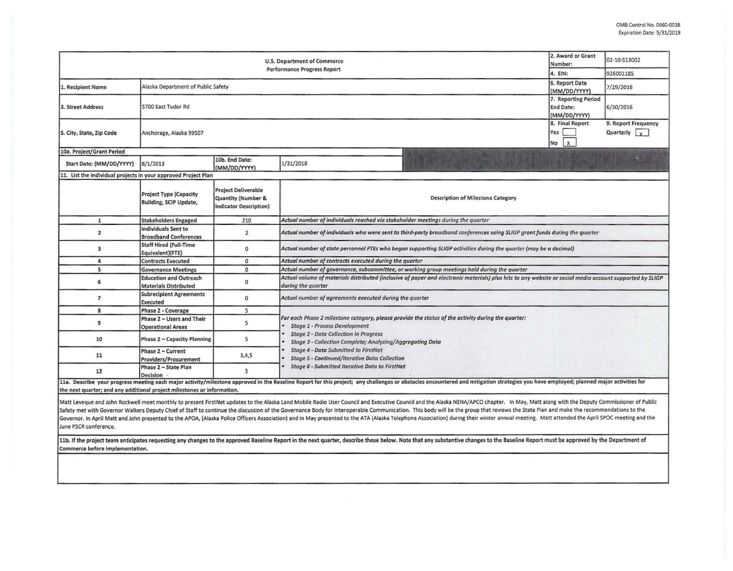| <b>U.S. Department of Commerce</b><br>Performance Progress Report       |                                                                |                                                                                   |                                                                                                                                                                                                                                                         |  | 02-10-S13002                                |  |  |  |  |
|-------------------------------------------------------------------------|----------------------------------------------------------------|-----------------------------------------------------------------------------------|---------------------------------------------------------------------------------------------------------------------------------------------------------------------------------------------------------------------------------------------------------|--|---------------------------------------------|--|--|--|--|
|                                                                         | 4. EIN:                                                        | 926001185                                                                         |                                                                                                                                                                                                                                                         |  |                                             |  |  |  |  |
| 1. Recipient Name                                                       | Alaska Department of Public Safety                             | 6. Report Date<br>(MM/DD/YYYY)                                                    | 7/29/2016                                                                                                                                                                                                                                               |  |                                             |  |  |  |  |
| 3. Street Address                                                       | 5700 East Tudor Rd                                             | 7. Reporting Period<br><b>End Date:</b><br>(MM/DD/YYYY)                           | 6/30/2016                                                                                                                                                                                                                                               |  |                                             |  |  |  |  |
| 5. City, State, Zip Code                                                | Anchorage, Alaska 99507                                        |                                                                                   |                                                                                                                                                                                                                                                         |  | 9. Report Frequency<br>Quarterly $\sqrt{v}$ |  |  |  |  |
| 10a. Project/Grant Period                                               |                                                                |                                                                                   |                                                                                                                                                                                                                                                         |  |                                             |  |  |  |  |
| Start Date: (MM/DD/YYYY)                                                | 8/1/2013                                                       | 10b. End Date:<br>(MM/DD/YYYY)                                                    | 1/31/2018                                                                                                                                                                                                                                               |  |                                             |  |  |  |  |
| 11. List the individual projects in your approved Project Plan          |                                                                |                                                                                   |                                                                                                                                                                                                                                                         |  |                                             |  |  |  |  |
|                                                                         | <b>Project Type (Capacity</b><br><b>Building, SCIP Update,</b> | <b>Project Deliverable</b><br>Quantity (Number &<br><b>Indicator Description)</b> | <b>Description of Milestone Category</b>                                                                                                                                                                                                                |  |                                             |  |  |  |  |
| $\mathbf 1$                                                             | <b>Stakeholders Engaged</b>                                    | 210                                                                               | Actual number of individuals reached via stakeholder meetings during the quarter                                                                                                                                                                        |  |                                             |  |  |  |  |
| $\overline{z}$                                                          | Individuals Sent to<br><b>Broadband Conferences</b>            | $\overline{2}$                                                                    | Actual number of individuals who were sent to third-party broadband conferences using SLIGP grant funds during the quarter                                                                                                                              |  |                                             |  |  |  |  |
| 3                                                                       | <b>Staff Hired (Full-Time</b><br>Equivalent)(FTE)              | 0                                                                                 | Actual number of state personnel FTEs who began supporting SLIGP activities during the quarter (may be a decimal)                                                                                                                                       |  |                                             |  |  |  |  |
| 4                                                                       | <b>Contracts Executed</b>                                      | $\mathbf 0$                                                                       | Actual number of contracts executed during the quarter                                                                                                                                                                                                  |  |                                             |  |  |  |  |
| 5                                                                       | <b>Governance Meetings</b>                                     | $\mathbf{0}$                                                                      | Actual number of governance, subcommittee, or working group meetings held during the quarter                                                                                                                                                            |  |                                             |  |  |  |  |
| 6                                                                       | <b>Education and Outreach</b><br><b>Materials Distributed</b>  | $\mathbf 0$                                                                       | Actual volume of materials distributed (inclusive of paper and electronic materials) plus hits to any website or social media account supported by SLIGP<br>during the quarter                                                                          |  |                                             |  |  |  |  |
| $\overline{7}$                                                          | <b>Subrecipient Agreements</b><br>Executed                     | 0                                                                                 | Actual number of agreements executed during the quarter                                                                                                                                                                                                 |  |                                             |  |  |  |  |
| 8                                                                       | Phase 2 - Coverage                                             | 5                                                                                 |                                                                                                                                                                                                                                                         |  |                                             |  |  |  |  |
| 9                                                                       | Phase 2 - Users and Their<br><b>Operational Areas</b>          | 5                                                                                 | For each Phase 2 milestone category, please provide the status of the activity during the quarter:<br><b>Stage 1 - Process Development</b><br><b>Stage 2 - Data Collection in Progress</b><br>Stage 3 - Collection Complete; Analyzing/Aggregating Data |  |                                             |  |  |  |  |
| 10                                                                      | Phase 2 - Capacity Planning                                    | 5                                                                                 |                                                                                                                                                                                                                                                         |  |                                             |  |  |  |  |
| 11                                                                      | Phase 2 - Current<br><b>Providers/Procurement</b>              | 3,4,5                                                                             | <b>Stage 4 - Data Submitted to FirstNet</b><br><b>Stage 5 - Continued/Iterative Data Collection</b><br>Stage 6 - Submitted Iterative Data to FirstNet                                                                                                   |  |                                             |  |  |  |  |
| 12                                                                      | Phase 2 - State Plan<br>Decision                               | $\overline{3}$                                                                    |                                                                                                                                                                                                                                                         |  |                                             |  |  |  |  |
| the next quarter; and any additional project milestones or information. |                                                                |                                                                                   | 11a. Describe your progress meeting each major activity/milestone approved in the Baseline Report for this project; any challenges or obstacles encountered and mitigation strategies you have employed; planned major activit                          |  |                                             |  |  |  |  |

Matt Leveque and John Rockwell meet monthly to present FirstNet updates to the Alaska Land Mobile Radio User Council and Executive Council and the Alaska NENA/APCO chapter. In May, Matt along with the Deputy Commissioner o Safety met with Governor Walkers Deputy Chief of Staff to continue the discussion of the Governance Body for Interoperable Communication. This body will be the group that reviews the State Plan and make the recommendations Governor. In April Matt and John presented to the APOA, (Alaska Police Officers Association) and in May presented to the ATA (Alaska Telephone Association) during their winter annual meeting. Matt attended the April SPOC m June PSCR conference.

11b. If the project team anticipates requesting any changes to the approved Baseline Report in the next quarter, describe those below. Note that any substantive changes to the Baseline Report must be approved by the Depart Commerce before implementation.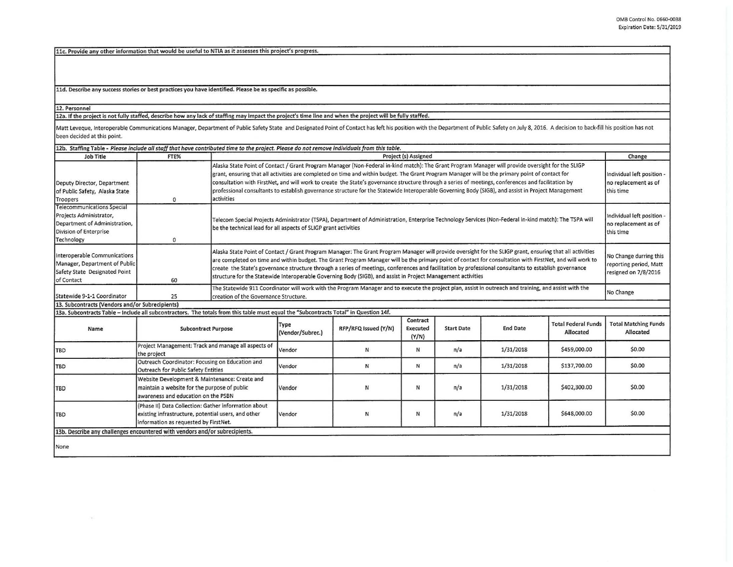llc. Provide any other information that would be useful to NTIA as it assesses this project's progress.

11d. Describe any success stories or best practices you have identified. Please be as specific as possible.

12. Personnel

12a. If the project is not fully staffed, describe how any lack of staffing may impact the project's time line and when the project will be fully staffed.

Matt Leveque, Interoperable Communications Manager, Department of Public Safety State and Designated Point of Contact has left his position with the Department of Public Safety on July 8, 2016. A decision to back-fill his been decided at this point.

| 12b. Staffing Table - Please include all staff that have contributed time to the project. Please do not remove individuals from this table. |                                                                                                                                                      |                                                                                                                                                                                                                                                                                                                                                                                                                                                                                                                                                                                                                                |                          |                      |                                      |                   |                 |                                                                 |                                                                          |
|---------------------------------------------------------------------------------------------------------------------------------------------|------------------------------------------------------------------------------------------------------------------------------------------------------|--------------------------------------------------------------------------------------------------------------------------------------------------------------------------------------------------------------------------------------------------------------------------------------------------------------------------------------------------------------------------------------------------------------------------------------------------------------------------------------------------------------------------------------------------------------------------------------------------------------------------------|--------------------------|----------------------|--------------------------------------|-------------------|-----------------|-----------------------------------------------------------------|--------------------------------------------------------------------------|
| Job Title                                                                                                                                   | FTE%                                                                                                                                                 |                                                                                                                                                                                                                                                                                                                                                                                                                                                                                                                                                                                                                                |                          |                      | <b>Project (s) Assigned</b>          |                   |                 |                                                                 | Change                                                                   |
| Deputy Director, Department<br>of Public Safety, Alaska State<br>Troopers                                                                   | $\mathbf 0$                                                                                                                                          | Alaska State Point of Contact / Grant Program Manager (Non-Federal in-kind match): The Grant Program Manager will provide oversight for the SLIGP<br>grant, ensuring that all activities are completed on time and within budget. The Grant Program Manager will be the primary point of contact for<br>consultation with FirstNet, and will work to create the State's governance structure through a series of meetings, conferences and facilitation by<br>professional consultants to establish governance structure for the Statewide Interoperable Governing Body (SIGB), and assist in Project Management<br>activities |                          |                      |                                      |                   |                 | Individual left position -<br>no replacement as of<br>this time |                                                                          |
| <b>Telecommunications Special</b><br>Projects Administrator,<br>Department of Administration,<br>Division of Enterprise<br>Technology       | $\mathbf 0$                                                                                                                                          | Telecom Special Projects Administrator (TSPA), Department of Administration, Enterprise Technology Services (Non-Federal in-kind match): The TSPA will<br>be the technical lead for all aspects of SLIGP grant activities                                                                                                                                                                                                                                                                                                                                                                                                      |                          |                      |                                      |                   |                 |                                                                 | Individual left position -<br>no replacement as of<br>this time          |
| Interoperable Communications<br>Manager, Department of Public<br>Safety State Designated Point<br>of Contact                                | 60                                                                                                                                                   | Alaska State Point of Contact / Grant Program Manager: The Grant Program Manager will provide oversight for the SLIGP grant, ensuring that all activities<br>are completed on time and within budget. The Grant Program Manager will be the primary point of contact for consultation with FirstNet, and will work to<br>create the State's governance structure through a series of meetings, conferences and facilitation by professional consultants to establish governance<br>structure for the Statewide Interoperable Governing Body (SIGB), and assist in Project Management activities                                |                          |                      |                                      |                   |                 |                                                                 | No Change durring this<br>reporting period, Matt<br>resigned on 7/8/2016 |
| Statewide 9-1-1 Coordinator                                                                                                                 | 25                                                                                                                                                   | The Statewide 911 Coordinator will work with the Program Manager and to execute the project plan, assist in outreach and training, and assist with the<br>creation of the Governance Structure.                                                                                                                                                                                                                                                                                                                                                                                                                                |                          |                      |                                      |                   |                 |                                                                 | No Change                                                                |
| 13. Subcontracts (Vendors and/or Subrecipients)                                                                                             |                                                                                                                                                      |                                                                                                                                                                                                                                                                                                                                                                                                                                                                                                                                                                                                                                |                          |                      |                                      |                   |                 |                                                                 |                                                                          |
| 13a. Subcontracts Table - Include all subcontractors. The totals from this table must equal the "Subcontracts Total" in Question 14f.       |                                                                                                                                                      |                                                                                                                                                                                                                                                                                                                                                                                                                                                                                                                                                                                                                                |                          |                      |                                      |                   |                 |                                                                 |                                                                          |
| Name                                                                                                                                        | <b>Subcontract Purpose</b>                                                                                                                           |                                                                                                                                                                                                                                                                                                                                                                                                                                                                                                                                                                                                                                | Type<br>(Vendor/Subrec.) | RFP/RFQ Issued (Y/N) | Contract<br><b>Executed</b><br>(Y/N) | <b>Start Date</b> | <b>End Date</b> | <b>Total Federal Funds</b><br>Allocated                         | <b>Total Matching Funds</b><br>Allocated                                 |
| <b>TBD</b>                                                                                                                                  | Project Management: Track and manage all aspects of<br>the project                                                                                   |                                                                                                                                                                                                                                                                                                                                                                                                                                                                                                                                                                                                                                | Vendor                   | N                    | N                                    | n/a               | 1/31/2018       | \$459,000.00                                                    | \$0.00                                                                   |
| TBD                                                                                                                                         | Outreach Coordinator: Focusing on Education and<br>Outreach for Public Safety Entities                                                               |                                                                                                                                                                                                                                                                                                                                                                                                                                                                                                                                                                                                                                | Vendor                   | N                    | $\mathbb N$                          | n/a               | 1/31/2018       | \$137,700.00                                                    | \$0.00                                                                   |
| TBD                                                                                                                                         | Website Development & Maintenance: Create and<br>maintain a website for the purpose of public<br>awareness and education on the PSBN                 |                                                                                                                                                                                                                                                                                                                                                                                                                                                                                                                                                                                                                                | Vendor                   | Ν                    | N                                    | n/a               | 1/31/2018       | \$402,300.00                                                    | \$0.00                                                                   |
| <b>TBD</b>                                                                                                                                  | (Phase II) Data Collection: Gather information about<br>existing infrastructure, potential users, and other<br>information as requested by FirstNet. |                                                                                                                                                                                                                                                                                                                                                                                                                                                                                                                                                                                                                                | Vendor                   | N                    | N                                    | n/a               | 1/31/2018       | \$648,000.00                                                    | \$0.00                                                                   |
| 13b. Describe any challenges encountered with vendors and/or subrecipients.                                                                 |                                                                                                                                                      |                                                                                                                                                                                                                                                                                                                                                                                                                                                                                                                                                                                                                                |                          |                      |                                      |                   |                 |                                                                 |                                                                          |
| None                                                                                                                                        |                                                                                                                                                      |                                                                                                                                                                                                                                                                                                                                                                                                                                                                                                                                                                                                                                |                          |                      |                                      |                   |                 |                                                                 |                                                                          |